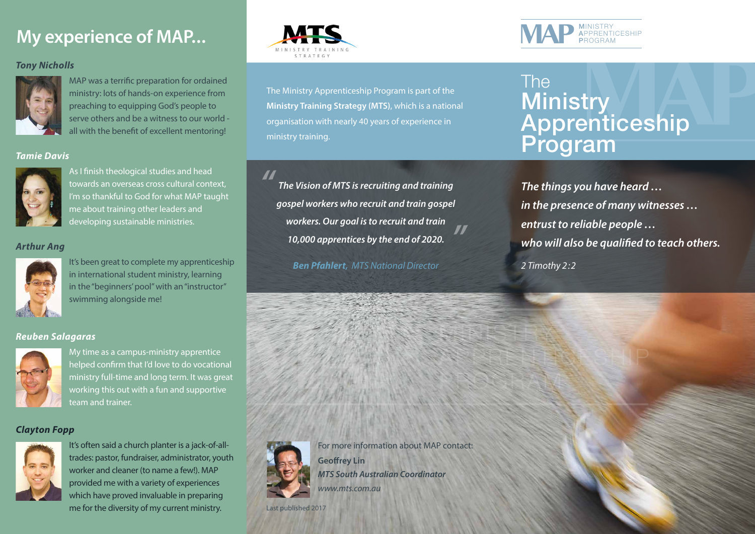## **My experience of MAP...**

## *Tony Nicholls*



MAP was a terrific preparation for ordained ministry: lots of hands-on experience from preaching to equipping God's people to serve others and be a witness to our world all with the benefit of excellent mentoring!

#### *Tamie Davis*



As I finish theological studies and head towards an overseas cross cultural context, I'm so thankful to God for what MAP taught me about training other leaders and developing sustainable ministries.

#### *Arthur Ang*



It's been great to complete my apprenticeship in international student ministry, learning in the "beginners' pool" with an "instructor" swimming alongside me!

#### *Reuben Salagaras*



My time as a campus-ministry apprentice helped confirm that I'd love to do vocational ministry full-time and long term. It was great working this out with a fun and supportive team and trainer.

### *Clayton Fopp*



It's often said a church planter is a jack-of-alltrades: pastor, fundraiser, administrator, youth worker and cleaner (to name a few!). MAP provided me with a variety of experiences which have proved invaluable in preparing me for the diversity of my current ministry.



The Ministry Apprenticeship Program is part of the **Ministry Training Strategy (MTS)**, which is a national organisation with nearly 40 years of experience in ministry training.

*"*

*The Vision of MTS is recruiting and training gospel workers who recruit and train gospel workers. Our goal is to recruit and train 10,000 apprentices by the end of 2020. "*

*Ben Pfahlert, MTS National Director*



## The **Ministry** Apprenticeship Program

*The things you have heard … in the presence of many witnesses … entrust to reliable people … who will also be qualified to teach others. 2 Timothy 2 :2*



For more information about MAP contact: **Geoffrey Lin**

MINISTRY

PROGRAM COMPANY

APPRENTICES SHIP

*MTS South Australian Coordinator*

*www.mts.com.au*

Last published 2017